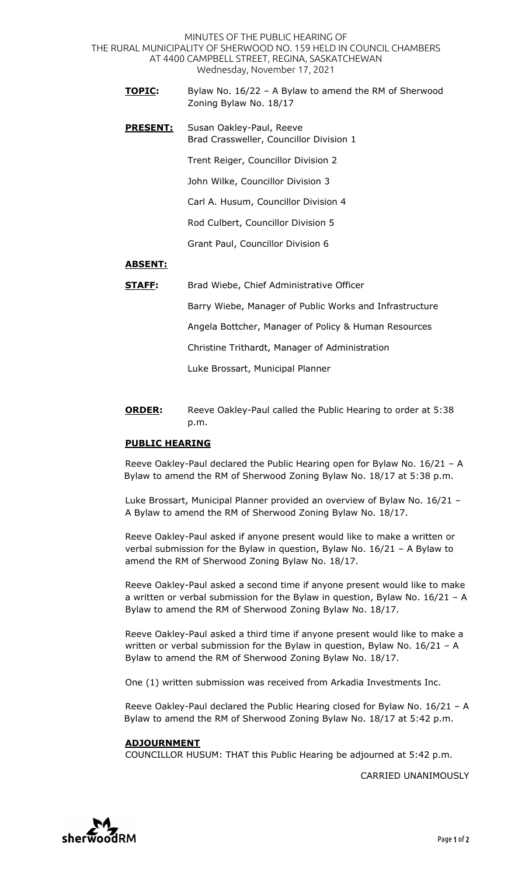MINUTES OF THE PUBLIC HEARING OF THE RURAL MUNICIPALITY OF SHERWOOD NO. 159 HELD IN COUNCIL CHAMBERS AT 4400 CAMPBELL STREET, REGINA, SASKATCHEWAN Wednesday, November 17, 2021

- **TOPIC:** Bylaw No. 16/22 A Bylaw to amend the RM of Sherwood Zoning Bylaw No. 18/17
- **PRESENT:** Susan Oakley-Paul, Reeve Brad Crassweller, Councillor Division 1

Trent Reiger, Councillor Division 2

John Wilke, Councillor Division 3

Carl A. Husum, Councillor Division 4

Rod Culbert, Councillor Division 5

Grant Paul, Councillor Division 6

## **ABSENT:**

**STAFF:** Brad Wiebe, Chief Administrative Officer

Barry Wiebe, Manager of Public Works and Infrastructure

Angela Bottcher, Manager of Policy & Human Resources

Christine Trithardt, Manager of Administration

Luke Brossart, Municipal Planner

**ORDER:** Reeve Oakley-Paul called the Public Hearing to order at 5:38 p.m.

## **PUBLIC HEARING**

Reeve Oakley-Paul declared the Public Hearing open for Bylaw No. 16/21 – A Bylaw to amend the RM of Sherwood Zoning Bylaw No. 18/17 at 5:38 p.m.

Luke Brossart, Municipal Planner provided an overview of Bylaw No. 16/21 – A Bylaw to amend the RM of Sherwood Zoning Bylaw No. 18/17.

Reeve Oakley-Paul asked if anyone present would like to make a written or verbal submission for the Bylaw in question, Bylaw No. 16/21 – A Bylaw to amend the RM of Sherwood Zoning Bylaw No. 18/17.

Reeve Oakley-Paul asked a second time if anyone present would like to make a written or verbal submission for the Bylaw in question, Bylaw No. 16/21 – A Bylaw to amend the RM of Sherwood Zoning Bylaw No. 18/17.

Reeve Oakley-Paul asked a third time if anyone present would like to make a written or verbal submission for the Bylaw in question, Bylaw No. 16/21 – A Bylaw to amend the RM of Sherwood Zoning Bylaw No. 18/17.

One (1) written submission was received from Arkadia Investments Inc.

Reeve Oakley-Paul declared the Public Hearing closed for Bylaw No. 16/21 – A Bylaw to amend the RM of Sherwood Zoning Bylaw No. 18/17 at 5:42 p.m.

## **ADJOURNMENT**

COUNCILLOR HUSUM: THAT this Public Hearing be adjourned at 5:42 p.m.

CARRIED UNANIMOUSLY